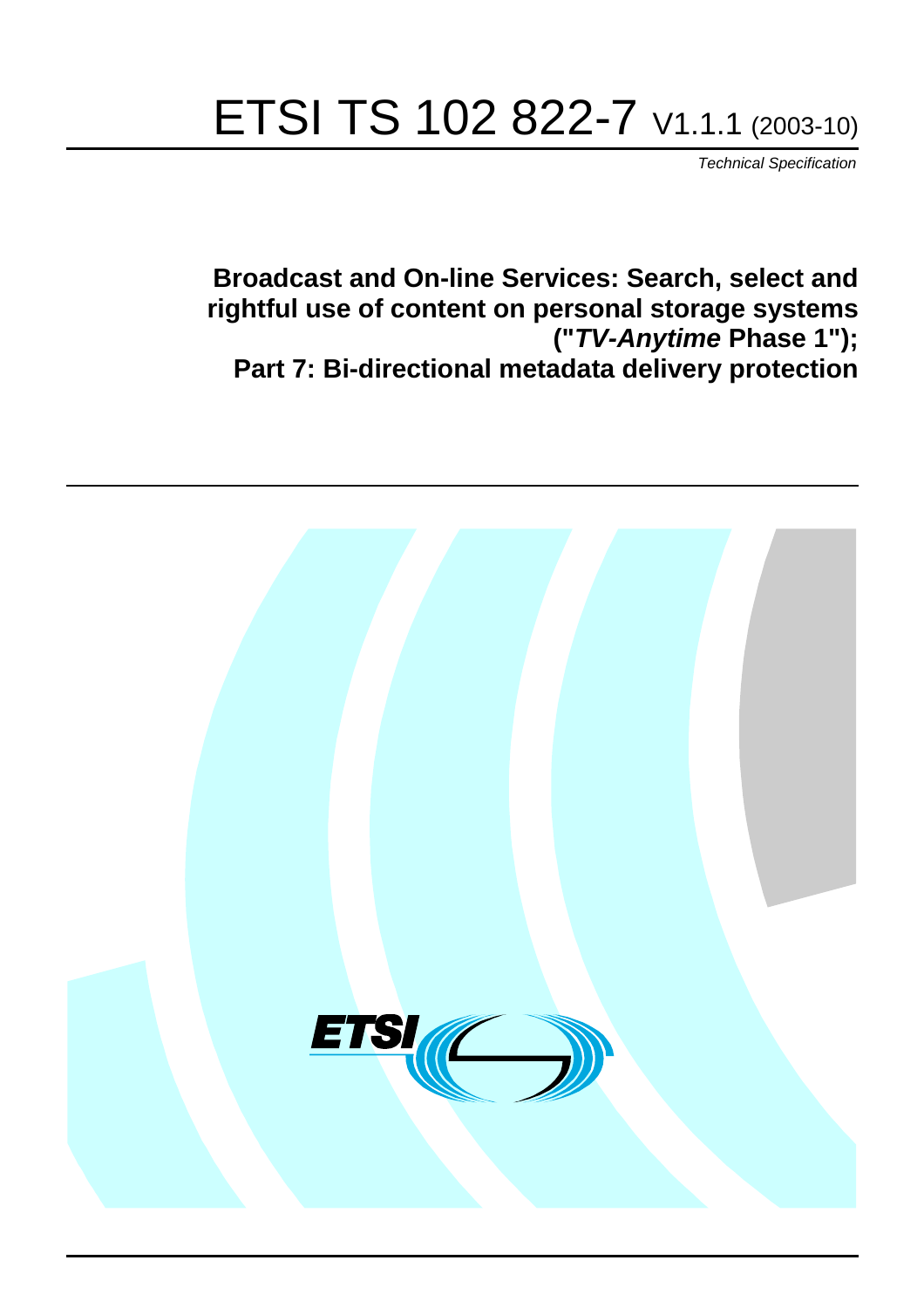# ETSI TS 102 822-7 V1.1.1 (2003-10)

Technical Specification

**Broadcast and On-line Services: Search, select and rightful use of content on personal storage systems ("TV-Anytime Phase 1"); Part 7: Bi-directional metadata delivery protection**

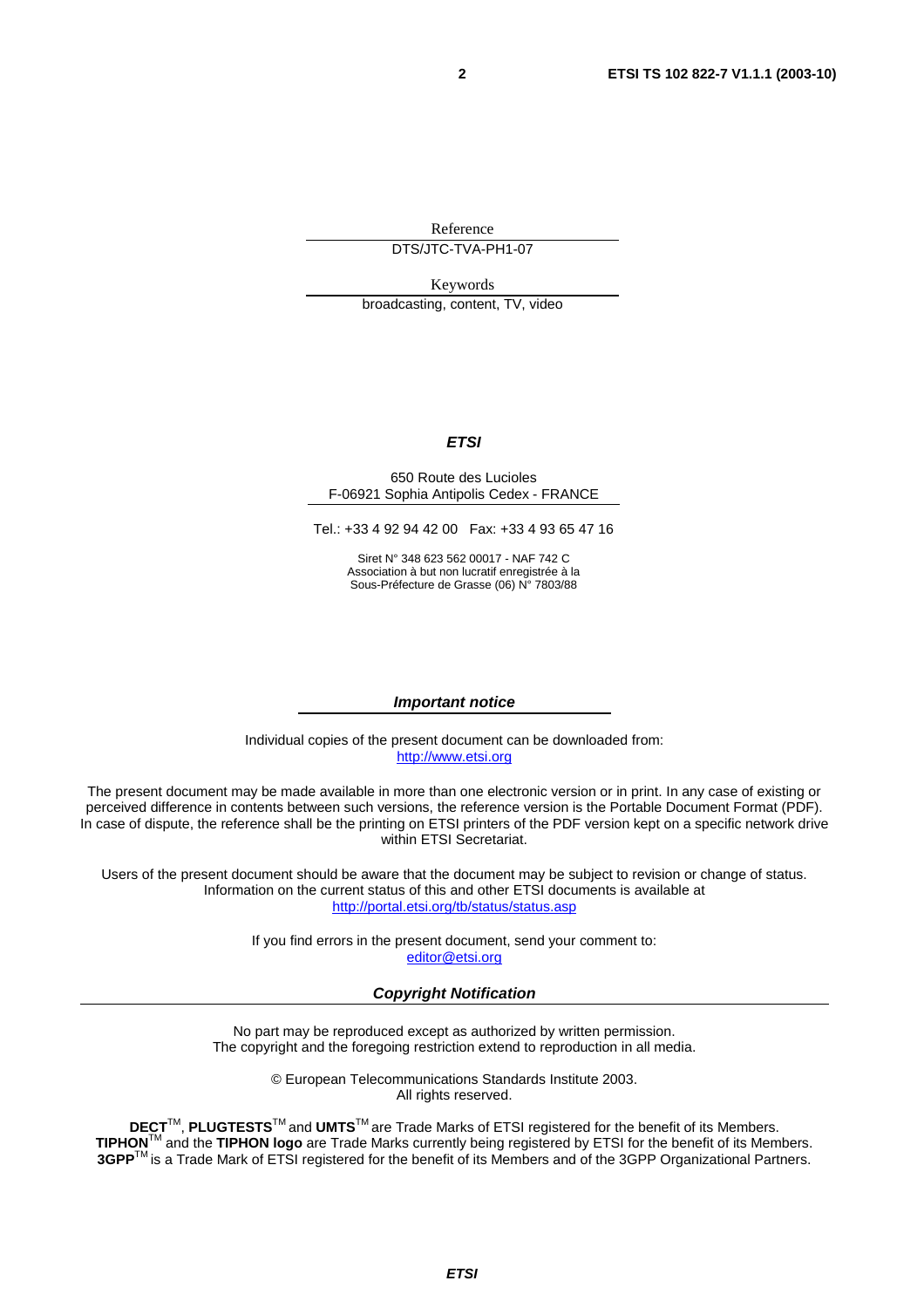Reference

DTS/JTC-TVA-PH1-07

Keywords

broadcasting, content, TV, video

#### **ETSI**

#### 650 Route des Lucioles F-06921 Sophia Antipolis Cedex - FRANCE

Tel.: +33 4 92 94 42 00 Fax: +33 4 93 65 47 16

Siret N° 348 623 562 00017 - NAF 742 C Association à but non lucratif enregistrée à la Sous-Préfecture de Grasse (06) N° 7803/88

#### **Important notice**

Individual copies of the present document can be downloaded from: [http://www.etsi.org](http://www.etsi.org/)

The present document may be made available in more than one electronic version or in print. In any case of existing or perceived difference in contents between such versions, the reference version is the Portable Document Format (PDF). In case of dispute, the reference shall be the printing on ETSI printers of the PDF version kept on a specific network drive within ETSI Secretariat.

Users of the present document should be aware that the document may be subject to revision or change of status. Information on the current status of this and other ETSI documents is available at <http://portal.etsi.org/tb/status/status.asp>

> If you find errors in the present document, send your comment to: [editor@etsi.org](mailto:editor@etsi.org)

#### **Copyright Notification**

No part may be reproduced except as authorized by written permission. The copyright and the foregoing restriction extend to reproduction in all media.

> © European Telecommunications Standards Institute 2003. All rights reserved.

**DECT**TM, **PLUGTESTS**TM and **UMTS**TM are Trade Marks of ETSI registered for the benefit of its Members. **TIPHON**TM and the **TIPHON logo** are Trade Marks currently being registered by ETSI for the benefit of its Members. **3GPP**TM is a Trade Mark of ETSI registered for the benefit of its Members and of the 3GPP Organizational Partners.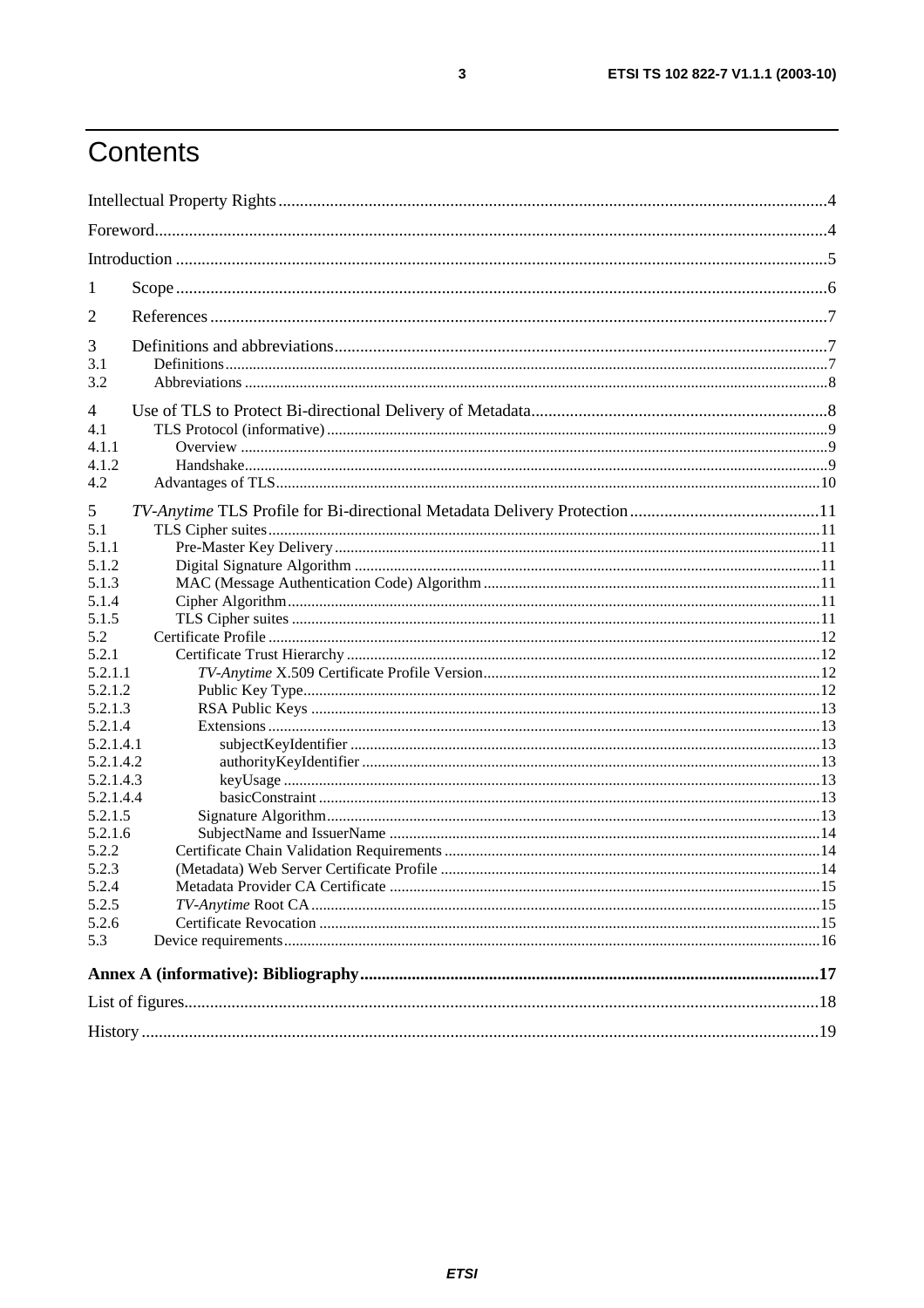# Contents

| 1                  |  |  |  |
|--------------------|--|--|--|
| $\overline{2}$     |  |  |  |
| 3                  |  |  |  |
| 3.1                |  |  |  |
| 3.2                |  |  |  |
| 4                  |  |  |  |
| 4.1                |  |  |  |
| 4.1.1              |  |  |  |
| 4.1.2              |  |  |  |
| 4.2                |  |  |  |
| 5                  |  |  |  |
| 5.1                |  |  |  |
| 5.1.1              |  |  |  |
| 5.1.2              |  |  |  |
| 5.1.3              |  |  |  |
| 5.1.4              |  |  |  |
| 5.1.5              |  |  |  |
| 5.2                |  |  |  |
| 5.2.1              |  |  |  |
| 5.2.1.1            |  |  |  |
| 5.2.1.2            |  |  |  |
| 5.2.1.3            |  |  |  |
| 5.2.1.4            |  |  |  |
| 5.2.1.4.1          |  |  |  |
| 5.2.1.4.2          |  |  |  |
| 5.2.1.4.3          |  |  |  |
| 5.2.1.4.4          |  |  |  |
| 5.2.1.5<br>5.2.1.6 |  |  |  |
| 5.2.2              |  |  |  |
| 5.2.3              |  |  |  |
| 5.2.4              |  |  |  |
| 5.2.5              |  |  |  |
| 5.2.6              |  |  |  |
| 5.3                |  |  |  |
|                    |  |  |  |
|                    |  |  |  |
|                    |  |  |  |
|                    |  |  |  |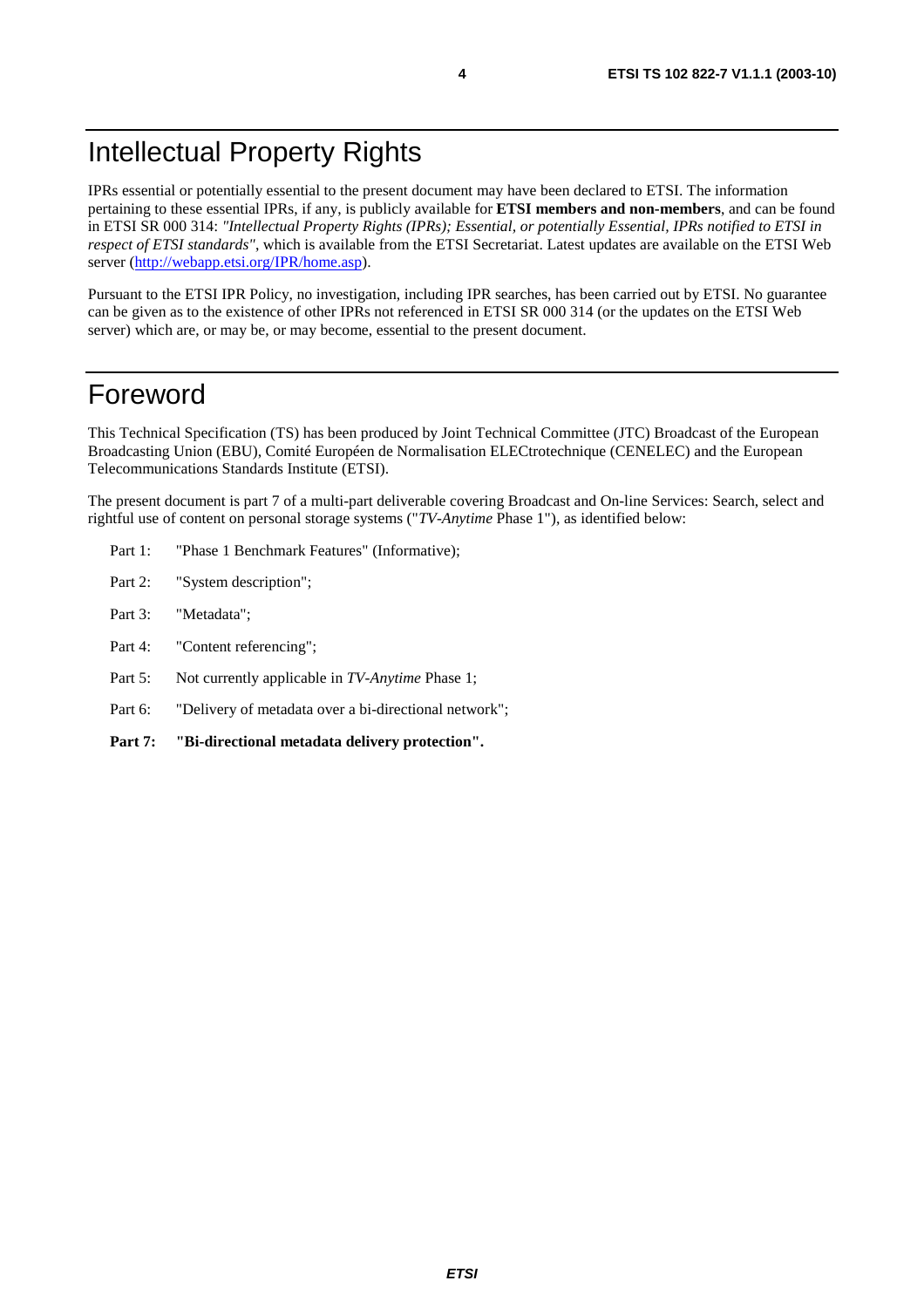# Intellectual Property Rights

IPRs essential or potentially essential to the present document may have been declared to ETSI. The information pertaining to these essential IPRs, if any, is publicly available for **ETSI members and non-members**, and can be found in ETSI SR 000 314: *"Intellectual Property Rights (IPRs); Essential, or potentially Essential, IPRs notified to ETSI in respect of ETSI standards"*, which is available from the ETSI Secretariat. Latest updates are available on the ETSI Web server (<http://webapp.etsi.org/IPR/home.asp>).

Pursuant to the ETSI IPR Policy, no investigation, including IPR searches, has been carried out by ETSI. No guarantee can be given as to the existence of other IPRs not referenced in ETSI SR 000 314 (or the updates on the ETSI Web server) which are, or may be, or may become, essential to the present document.

### Foreword

This Technical Specification (TS) has been produced by Joint Technical Committee (JTC) Broadcast of the European Broadcasting Union (EBU), Comité Européen de Normalisation ELECtrotechnique (CENELEC) and the European Telecommunications Standards Institute (ETSI).

The present document is part 7 of a multi-part deliverable covering Broadcast and On-line Services: Search, select and rightful use of content on personal storage systems ("*TV-Anytime* Phase 1"), as identified below:

- Part 1: "Phase 1 Benchmark Features" (Informative);
- Part 2: "System description";
- Part 3: "Metadata";
- Part 4: "Content referencing":
- Part 5: Not currently applicable in *TV-Anytime* Phase 1;
- Part 6: "Delivery of metadata over a bi-directional network";
- **Part 7: "Bi-directional metadata delivery protection".**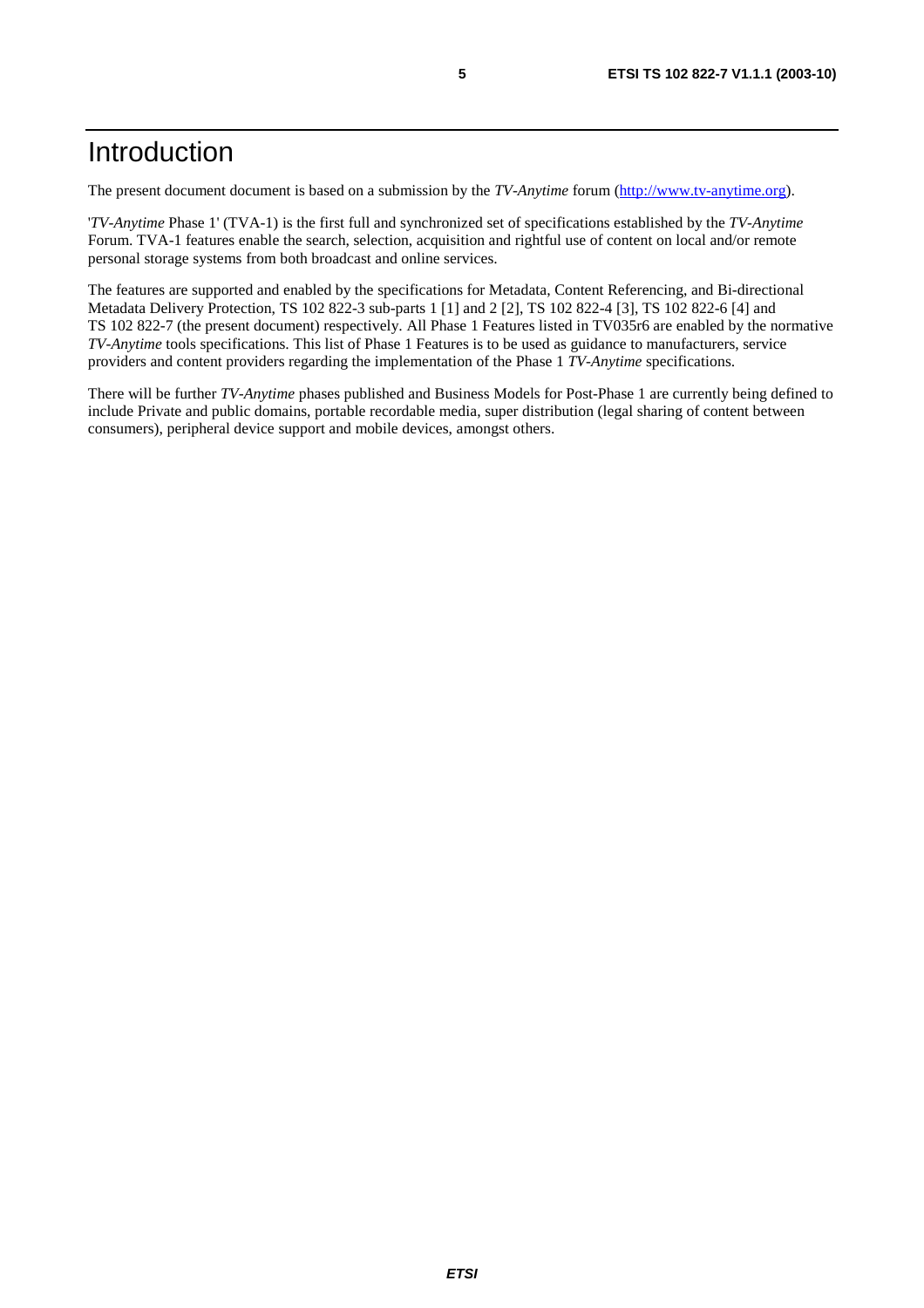### Introduction

The present document document is based on a submission by the *TV-Anytime* forum ([http://www.tv-anytime.org](http://www.tv-anytime.org/)).

'*TV-Anytime* Phase 1' (TVA-1) is the first full and synchronized set of specifications established by the *TV-Anytime* Forum. TVA-1 features enable the search, selection, acquisition and rightful use of content on local and/or remote personal storage systems from both broadcast and online services.

The features are supported and enabled by the specifications for Metadata, Content Referencing, and Bi-directional Metadata Delivery Protection, TS 102 822-3 sub-parts 1 [1] and 2 [2], TS 102 822-4 [3], TS 102 822-6 [4] and TS 102 822-7 (the present document) respectively. All Phase 1 Features listed in TV035r6 are enabled by the normative *TV-Anytime* tools specifications. This list of Phase 1 Features is to be used as guidance to manufacturers, service providers and content providers regarding the implementation of the Phase 1 *TV-Anytime* specifications.

There will be further *TV-Anytime* phases published and Business Models for Post-Phase 1 are currently being defined to include Private and public domains, portable recordable media, super distribution (legal sharing of content between consumers), peripheral device support and mobile devices, amongst others.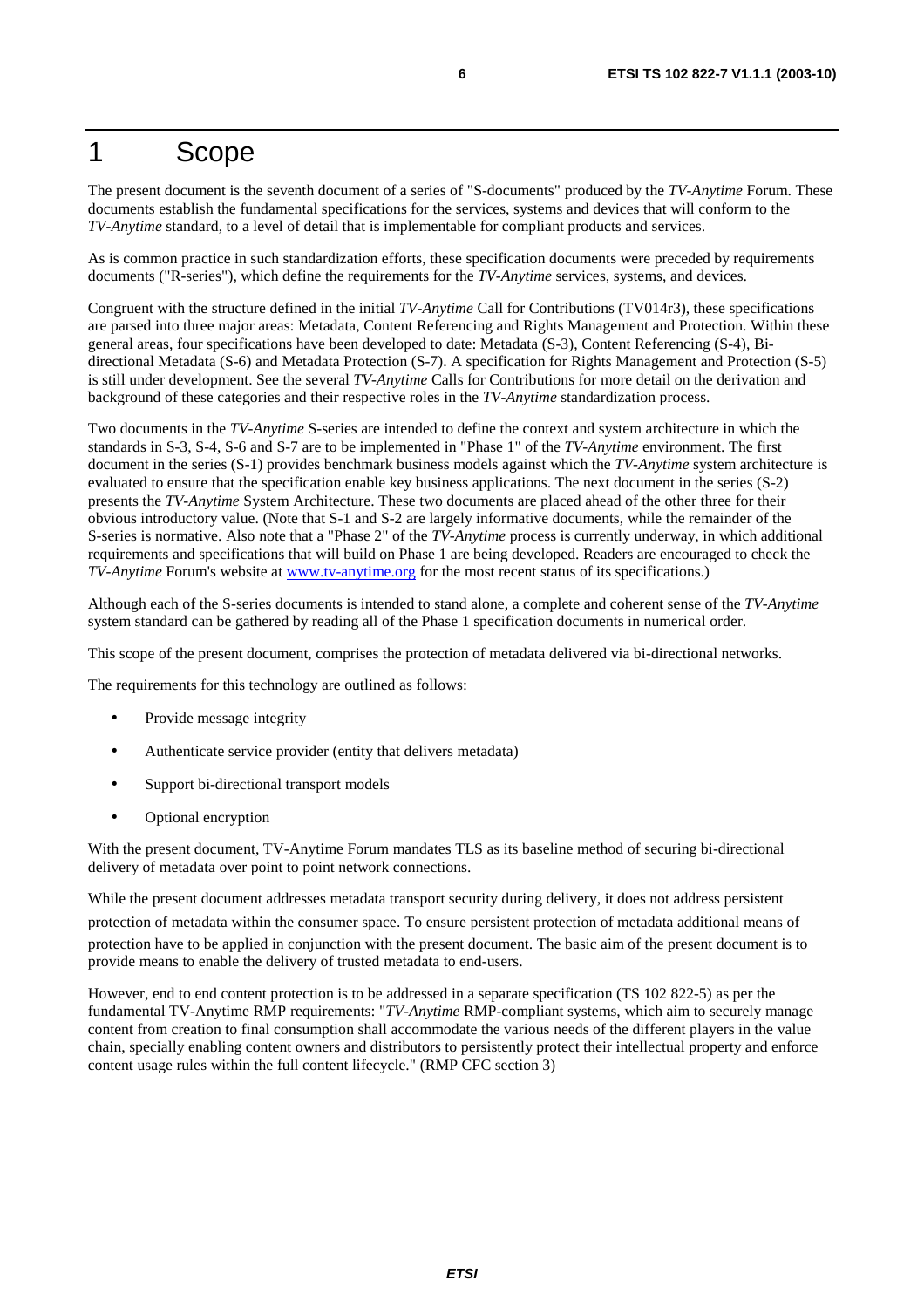### 1 Scope

The present document is the seventh document of a series of "S-documents" produced by the *TV-Anytime* Forum. These documents establish the fundamental specifications for the services, systems and devices that will conform to the *TV-Anytime* standard, to a level of detail that is implementable for compliant products and services.

As is common practice in such standardization efforts, these specification documents were preceded by requirements documents ("R-series"), which define the requirements for the *TV-Anytime* services, systems, and devices.

Congruent with the structure defined in the initial *TV-Anytime* Call for Contributions (TV014r3), these specifications are parsed into three major areas: Metadata, Content Referencing and Rights Management and Protection. Within these general areas, four specifications have been developed to date: Metadata (S-3), Content Referencing (S-4), Bidirectional Metadata (S-6) and Metadata Protection (S-7). A specification for Rights Management and Protection (S-5) is still under development. See the several *TV-Anytime* Calls for Contributions for more detail on the derivation and background of these categories and their respective roles in the *TV-Anytime* standardization process.

Two documents in the *TV-Anytime* S-series are intended to define the context and system architecture in which the standards in S-3, S-4, S-6 and S-7 are to be implemented in "Phase 1" of the *TV-Anytime* environment. The first document in the series (S-1) provides benchmark business models against which the *TV-Anytime* system architecture is evaluated to ensure that the specification enable key business applications. The next document in the series (S-2) presents the *TV-Anytime* System Architecture. These two documents are placed ahead of the other three for their obvious introductory value. (Note that S-1 and S-2 are largely informative documents, while the remainder of the S-series is normative. Also note that a "Phase 2" of the *TV-Anytime* process is currently underway, in which additional requirements and specifications that will build on Phase 1 are being developed. Readers are encouraged to check the *TV-Anytime* Forum's website at [www.tv-anytime.org](http://www.tv-anytime.org/) for the most recent status of its specifications.)

Although each of the S-series documents is intended to stand alone, a complete and coherent sense of the *TV-Anytime* system standard can be gathered by reading all of the Phase 1 specification documents in numerical order.

This scope of the present document, comprises the protection of metadata delivered via bi-directional networks.

The requirements for this technology are outlined as follows:

- Provide message integrity
- Authenticate service provider (entity that delivers metadata)
- Support bi-directional transport models
- Optional encryption

With the present document, TV-Anytime Forum mandates TLS as its baseline method of securing bi-directional delivery of metadata over point to point network connections.

While the present document addresses metadata transport security during delivery, it does not address persistent protection of metadata within the consumer space. To ensure persistent protection of metadata additional means of protection have to be applied in conjunction with the present document. The basic aim of the present document is to provide means to enable the delivery of trusted metadata to end-users.

However, end to end content protection is to be addressed in a separate specification (TS 102 822-5) as per the fundamental TV-Anytime RMP requirements: "*TV-Anytime* RMP-compliant systems, which aim to securely manage content from creation to final consumption shall accommodate the various needs of the different players in the value chain, specially enabling content owners and distributors to persistently protect their intellectual property and enforce content usage rules within the full content lifecycle." (RMP CFC section 3)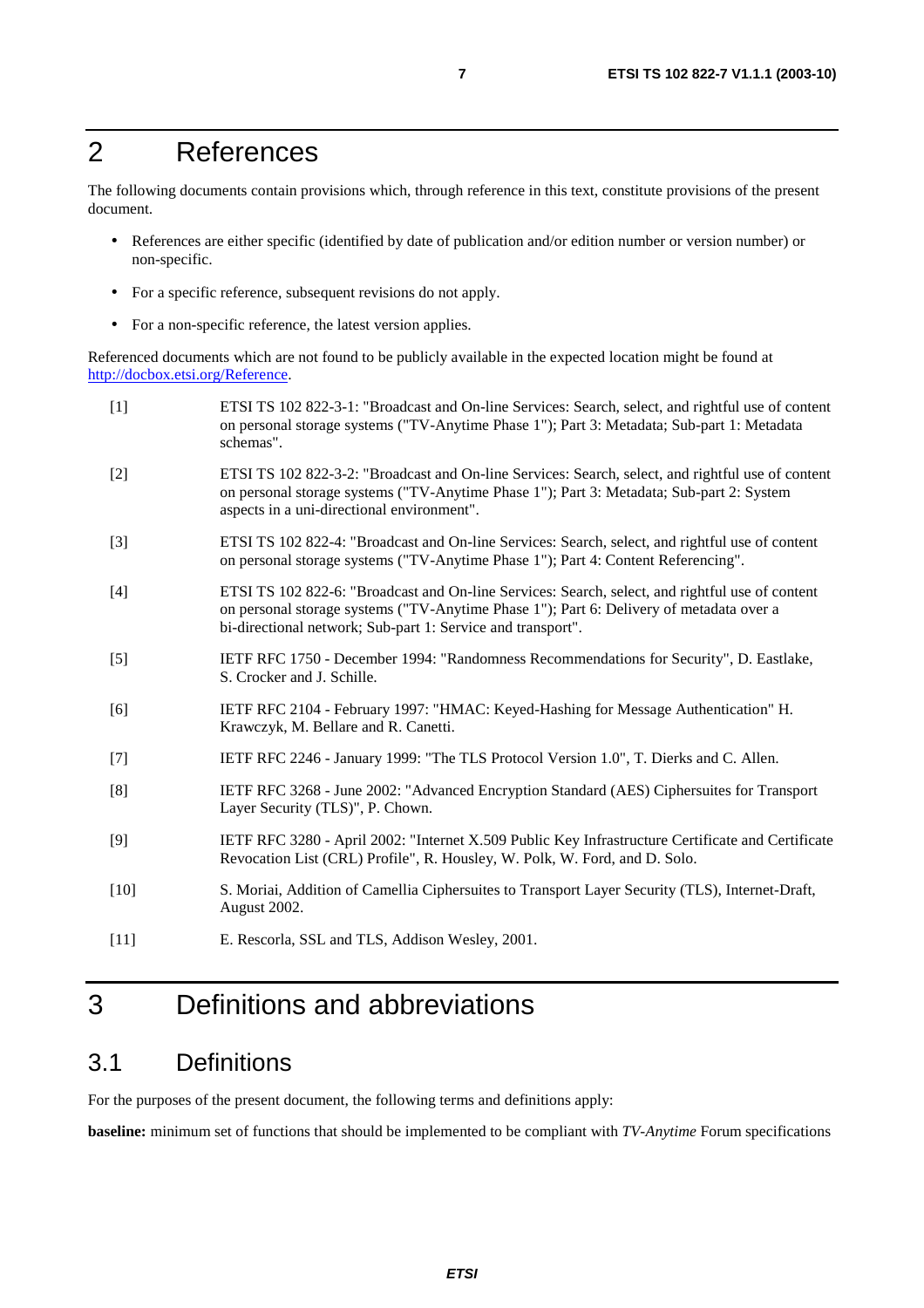# 2 References

The following documents contain provisions which, through reference in this text, constitute provisions of the present document.

- References are either specific (identified by date of publication and/or edition number or version number) or non-specific.
- For a specific reference, subsequent revisions do not apply.
- For a non-specific reference, the latest version applies.

Referenced documents which are not found to be publicly available in the expected location might be found at [http://docbox.etsi.org/Reference.](http://docbox.etsi.org/Reference)

| $[1]$  | ETSI TS 102 822-3-1: "Broadcast and On-line Services: Search, select, and rightful use of content<br>on personal storage systems ("TV-Anytime Phase 1"); Part 3: Metadata; Sub-part 1: Metadata<br>schemas".                                              |
|--------|-----------------------------------------------------------------------------------------------------------------------------------------------------------------------------------------------------------------------------------------------------------|
| $[2]$  | ETSI TS 102 822-3-2: "Broadcast and On-line Services: Search, select, and rightful use of content<br>on personal storage systems ("TV-Anytime Phase 1"); Part 3: Metadata; Sub-part 2: System<br>aspects in a uni-directional environment".               |
| $[3]$  | ETSI TS 102 822-4: "Broadcast and On-line Services: Search, select, and rightful use of content<br>on personal storage systems ("TV-Anytime Phase 1"); Part 4: Content Referencing".                                                                      |
| $[4]$  | ETSI TS 102 822-6: "Broadcast and On-line Services: Search, select, and rightful use of content<br>on personal storage systems ("TV-Anytime Phase 1"); Part 6: Delivery of metadata over a<br>bi-directional network; Sub-part 1: Service and transport". |
| $[5]$  | IETF RFC 1750 - December 1994: "Randomness Recommendations for Security", D. Eastlake,<br>S. Crocker and J. Schille.                                                                                                                                      |
| [6]    | IETF RFC 2104 - February 1997: "HMAC: Keyed-Hashing for Message Authentication" H.<br>Krawczyk, M. Bellare and R. Canetti.                                                                                                                                |
| $[7]$  | IETF RFC 2246 - January 1999: "The TLS Protocol Version 1.0", T. Dierks and C. Allen.                                                                                                                                                                     |
| [8]    | IETF RFC 3268 - June 2002: "Advanced Encryption Standard (AES) Ciphersuites for Transport<br>Layer Security (TLS)", P. Chown.                                                                                                                             |
| [9]    | IETF RFC 3280 - April 2002: "Internet X.509 Public Key Infrastructure Certificate and Certificate<br>Revocation List (CRL) Profile", R. Housley, W. Polk, W. Ford, and D. Solo.                                                                           |
| $[10]$ | S. Moriai, Addition of Camellia Ciphersuites to Transport Layer Security (TLS), Internet-Draft,<br>August 2002.                                                                                                                                           |
| $[11]$ | E. Rescorla, SSL and TLS, Addison Wesley, 2001.                                                                                                                                                                                                           |
|        |                                                                                                                                                                                                                                                           |

# 3 Definitions and abbreviations

### 3.1 Definitions

For the purposes of the present document, the following terms and definitions apply:

**baseline:** minimum set of functions that should be implemented to be compliant with *TV-Anytime* Forum specifications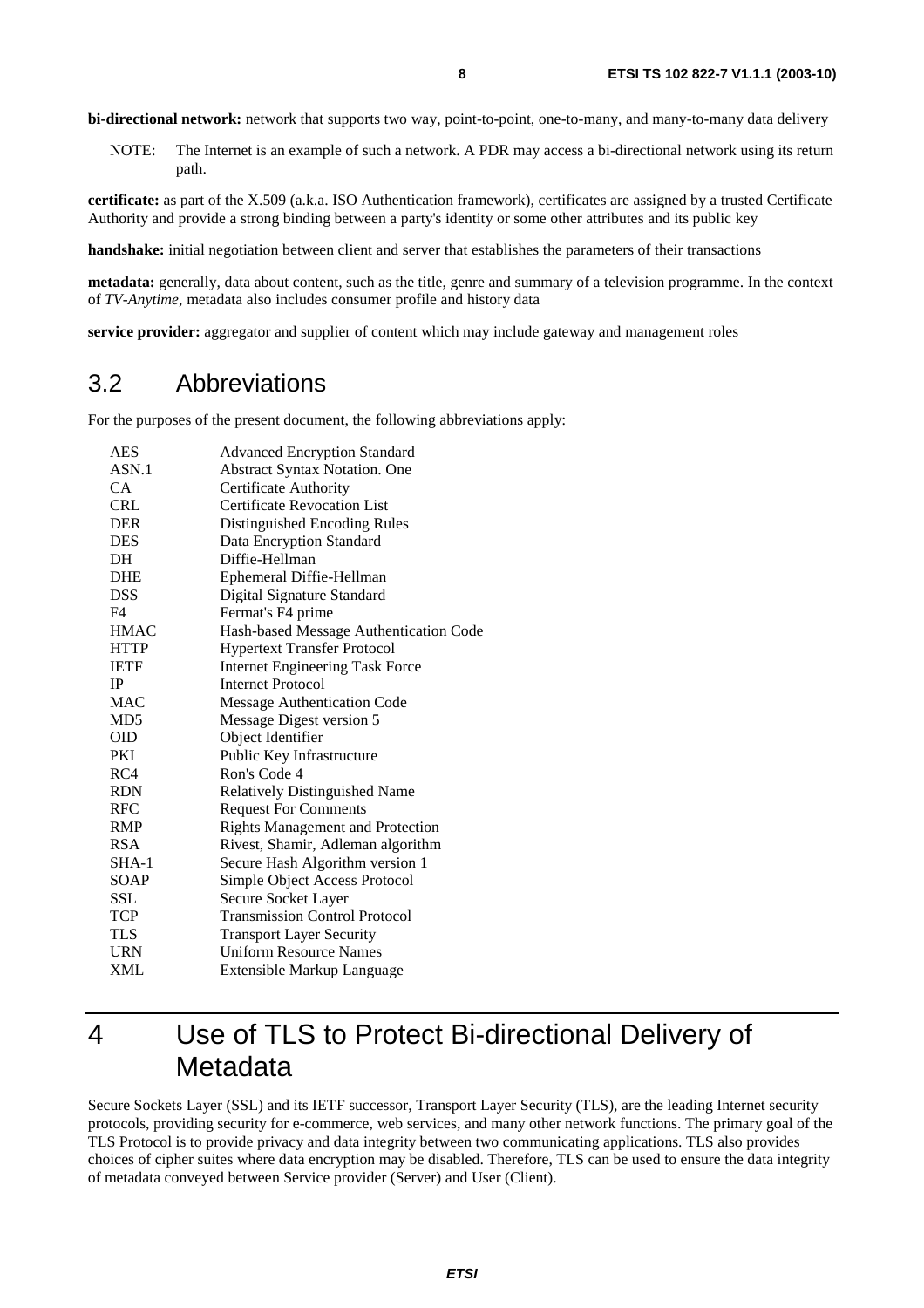**bi-directional network:** network that supports two way, point-to-point, one-to-many, and many-to-many data delivery

NOTE: The Internet is an example of such a network. A PDR may access a bi-directional network using its return path.

**certificate:** as part of the X.509 (a.k.a. ISO Authentication framework), certificates are assigned by a trusted Certificate Authority and provide a strong binding between a party's identity or some other attributes and its public key

**handshake:** initial negotiation between client and server that establishes the parameters of their transactions

**metadata:** generally, data about content, such as the title, genre and summary of a television programme. In the context of *TV-Anytime*, metadata also includes consumer profile and history data

**service provider:** aggregator and supplier of content which may include gateway and management roles

### 3.2 Abbreviations

For the purposes of the present document, the following abbreviations apply:

| <b>AES</b>      | <b>Advanced Encryption Standard</b>     |
|-----------------|-----------------------------------------|
| ASN.1           | <b>Abstract Syntax Notation. One</b>    |
| <b>CA</b>       | <b>Certificate Authority</b>            |
| <b>CRL</b>      | <b>Certificate Revocation List</b>      |
| <b>DER</b>      | Distinguished Encoding Rules            |
| <b>DES</b>      | Data Encryption Standard                |
| DH              | Diffie-Hellman                          |
| <b>DHE</b>      | Ephemeral Diffie-Hellman                |
| <b>DSS</b>      | Digital Signature Standard              |
| F4              | Fermat's F4 prime                       |
| <b>HMAC</b>     | Hash-based Message Authentication Code  |
| <b>HTTP</b>     | <b>Hypertext Transfer Protocol</b>      |
| <b>IETF</b>     | <b>Internet Engineering Task Force</b>  |
| <b>IP</b>       | <b>Internet Protocol</b>                |
| <b>MAC</b>      | <b>Message Authentication Code</b>      |
| MD <sub>5</sub> | Message Digest version 5                |
| OID             | Object Identifier                       |
| PKI             | Public Key Infrastructure               |
| RC4             | Ron's Code 4                            |
| <b>RDN</b>      | Relatively Distinguished Name           |
| RFC             | <b>Request For Comments</b>             |
| <b>RMP</b>      | <b>Rights Management and Protection</b> |
| <b>RSA</b>      | Rivest, Shamir, Adleman algorithm       |
| $SHA-1$         | Secure Hash Algorithm version 1         |
| SOAP            | Simple Object Access Protocol           |
| SSL             | Secure Socket Layer                     |
| <b>TCP</b>      | <b>Transmission Control Protocol</b>    |
| <b>TLS</b>      | <b>Transport Layer Security</b>         |
| <b>URN</b>      | <b>Uniform Resource Names</b>           |
| XML             | Extensible Markup Language              |

4 Use of TLS to Protect Bi-directional Delivery of **Metadata** 

Secure Sockets Layer (SSL) and its IETF successor, Transport Layer Security (TLS), are the leading Internet security protocols, providing security for e-commerce, web services, and many other network functions. The primary goal of the TLS Protocol is to provide privacy and data integrity between two communicating applications. TLS also provides choices of cipher suites where data encryption may be disabled. Therefore, TLS can be used to ensure the data integrity of metadata conveyed between Service provider (Server) and User (Client).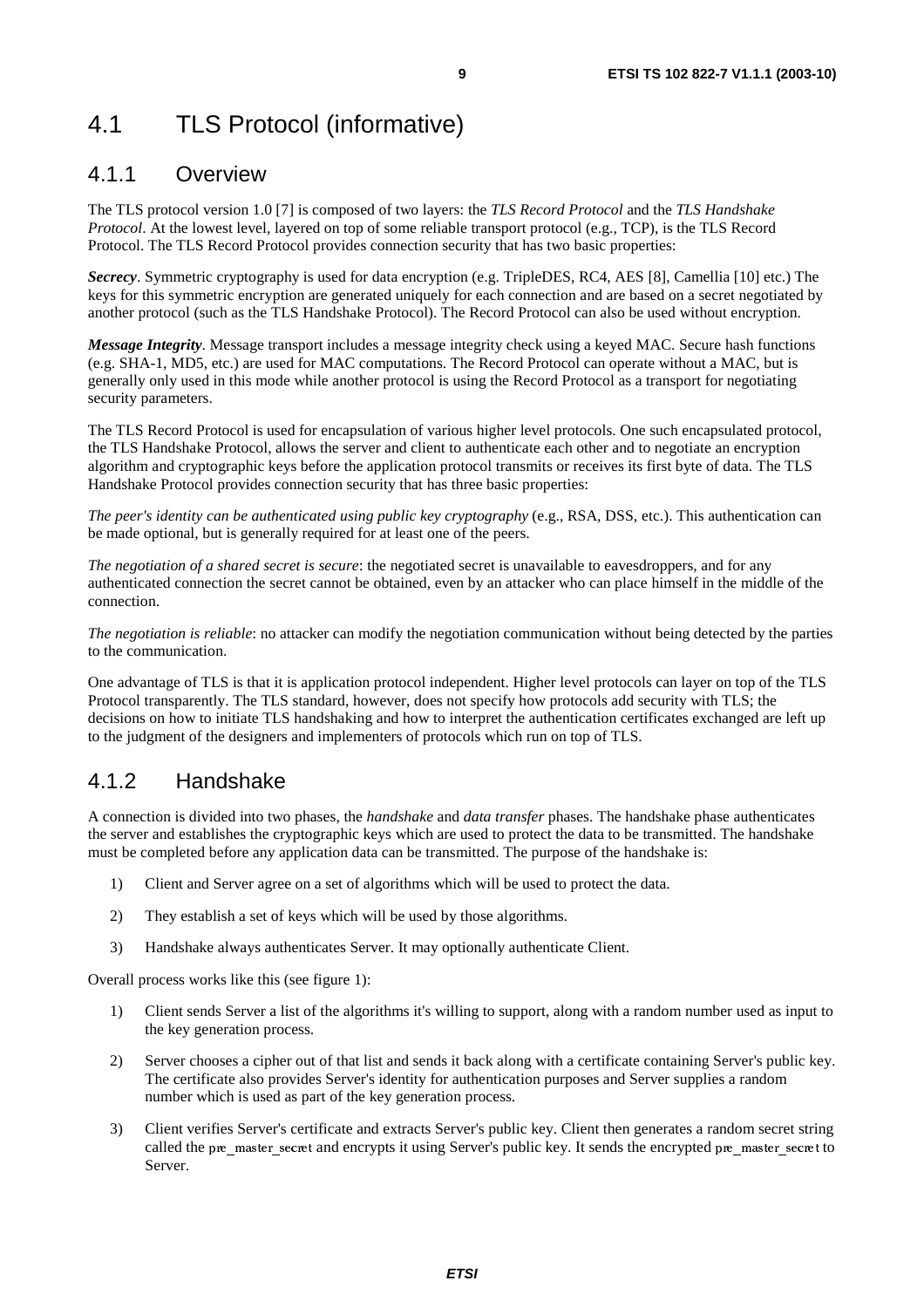# 4.1 TLS Protocol (informative)

#### 4.1.1 Overview

The TLS protocol version 1.0 [7] is composed of two layers: the *TLS Record Protocol* and the *TLS Handshake Protocol*. At the lowest level, layered on top of some reliable transport protocol (e.g., TCP), is the TLS Record Protocol. The TLS Record Protocol provides connection security that has two basic properties:

*Secrecy*. Symmetric cryptography is used for data encryption (e.g. TripleDES, RC4, AES [8], Camellia [10] etc.) The keys for this symmetric encryption are generated uniquely for each connection and are based on a secret negotiated by another protocol (such as the TLS Handshake Protocol). The Record Protocol can also be used without encryption.

*Message Integrity*. Message transport includes a message integrity check using a keyed MAC. Secure hash functions (e.g. SHA-1, MD5, etc.) are used for MAC computations. The Record Protocol can operate without a MAC, but is generally only used in this mode while another protocol is using the Record Protocol as a transport for negotiating security parameters.

The TLS Record Protocol is used for encapsulation of various higher level protocols. One such encapsulated protocol, the TLS Handshake Protocol, allows the server and client to authenticate each other and to negotiate an encryption algorithm and cryptographic keys before the application protocol transmits or receives its first byte of data. The TLS Handshake Protocol provides connection security that has three basic properties:

*The peer's identity can be authenticated using public key cryptography* (e.g., RSA, DSS, etc.). This authentication can be made optional, but is generally required for at least one of the peers.

*The negotiation of a shared secret is secure*: the negotiated secret is unavailable to eavesdroppers, and for any authenticated connection the secret cannot be obtained, even by an attacker who can place himself in the middle of the connection.

*The negotiation is reliable*: no attacker can modify the negotiation communication without being detected by the parties to the communication.

One advantage of TLS is that it is application protocol independent. Higher level protocols can layer on top of the TLS Protocol transparently. The TLS standard, however, does not specify how protocols add security with TLS; the decisions on how to initiate TLS handshaking and how to interpret the authentication certificates exchanged are left up to the judgment of the designers and implementers of protocols which run on top of TLS.

### 4.1.2 Handshake

A connection is divided into two phases, the *handshake* and *data transfer* phases. The handshake phase authenticates the server and establishes the cryptographic keys which are used to protect the data to be transmitted. The handshake must be completed before any application data can be transmitted. The purpose of the handshake is:

- 1) Client and Server agree on a set of algorithms which will be used to protect the data.
- 2) They establish a set of keys which will be used by those algorithms.
- 3) Handshake always authenticates Server. It may optionally authenticate Client.

Overall process works like this (see figure 1):

- 1) Client sends Server a list of the algorithms it's willing to support, along with a random number used as input to the key generation process.
- 2) Server chooses a cipher out of that list and sends it back along with a certificate containing Server's public key. The certificate also provides Server's identity for authentication purposes and Server supplies a random number which is used as part of the key generation process.
- 3) Client verifies Server's certificate and extracts Server's public key. Client then generates a random secret string called the pre\_master\_secret and encrypts it using Server's public key. It sends the encrypted pre\_master\_secret to Server.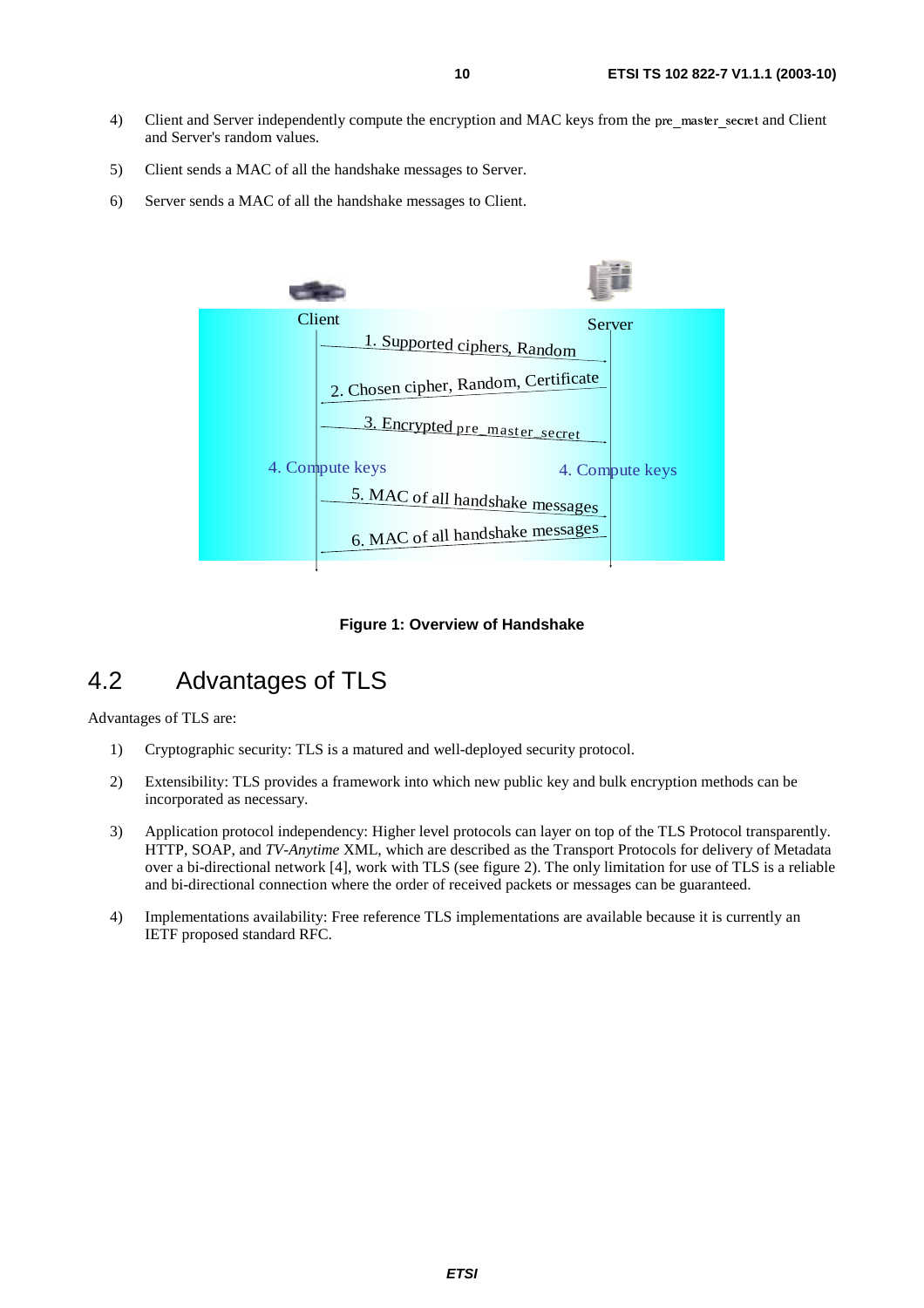- 4) Client and Server independently compute the encryption and MAC keys from the pre\_master\_secret and Client and Server's random values.
- 5) Client sends a MAC of all the handshake messages to Server.
- 6) Server sends a MAC of all the handshake messages to Client.



**Figure 1: Overview of Handshake** 

### 4.2 Advantages of TLS

Advantages of TLS are:

- 1) Cryptographic security: TLS is a matured and well-deployed security protocol.
- 2) Extensibility: TLS provides a framework into which new public key and bulk encryption methods can be incorporated as necessary.
- 3) Application protocol independency: Higher level protocols can layer on top of the TLS Protocol transparently. HTTP, SOAP, and *TV-Anytime* XML, which are described as the Transport Protocols for delivery of Metadata over a bi-directional network [4], work with TLS (see figure 2). The only limitation for use of TLS is a reliable and bi-directional connection where the order of received packets or messages can be guaranteed.
- 4) Implementations availability: Free reference TLS implementations are available because it is currently an IETF proposed standard RFC.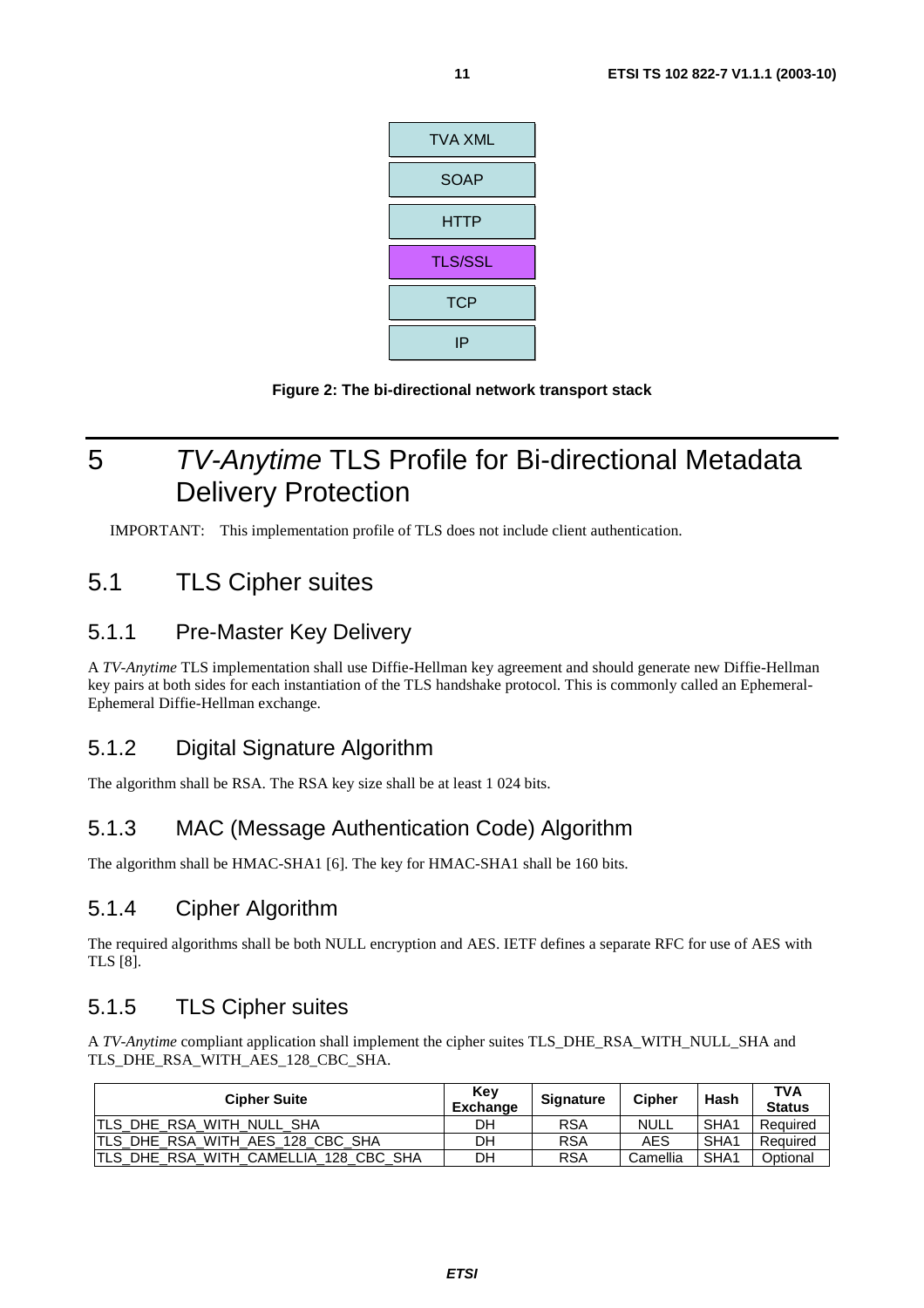

**Figure 2: The bi-directional network transport stack** 

# 5 TV-Anytime TLS Profile for Bi-directional Metadata Delivery Protection

IMPORTANT: This implementation profile of TLS does not include client authentication.

### 5.1 TLS Cipher suites

### 5.1.1 Pre-Master Key Delivery

A *TV-Anytime* TLS implementation shall use Diffie-Hellman key agreement and should generate new Diffie-Hellman key pairs at both sides for each instantiation of the TLS handshake protocol. This is commonly called an Ephemeral-Ephemeral Diffie-Hellman exchange.

### 5.1.2 Digital Signature Algorithm

The algorithm shall be RSA. The RSA key size shall be at least 1 024 bits.

### 5.1.3 MAC (Message Authentication Code) Algorithm

The algorithm shall be HMAC-SHA1 [6]. The key for HMAC-SHA1 shall be 160 bits.

### 5.1.4 Cipher Algorithm

The required algorithms shall be both NULL encryption and AES. IETF defines a separate RFC for use of AES with TLS [8].

### 5.1.5 TLS Cipher suites

A *TV-Anytime* compliant application shall implement the cipher suites TLS\_DHE\_RSA\_WITH\_NULL\_SHA and TLS\_DHE\_RSA\_WITH\_AES\_128\_CBC\_SHA.

| <b>Cipher Suite</b>                    | Key<br><b>Exchange</b> | <b>Signature</b> | <b>Cipher</b> | Hash             | <b>TVA</b><br><b>Status</b> |
|----------------------------------------|------------------------|------------------|---------------|------------------|-----------------------------|
| ITLS DHE RSA WITH NULL SHA             | DН                     | <b>RSA</b>       | <b>NULL</b>   | SHA <sub>1</sub> | Required                    |
| ITLS DHE RSA WITH AES 128 CBC SHA      | DH                     | <b>RSA</b>       | AES           | SHA <sub>1</sub> | Required                    |
| ITLS DHE RSA WITH CAMELLIA 128 CBC SHA | DН                     | <b>RSA</b>       | Camellia      | SHA1             | Optional                    |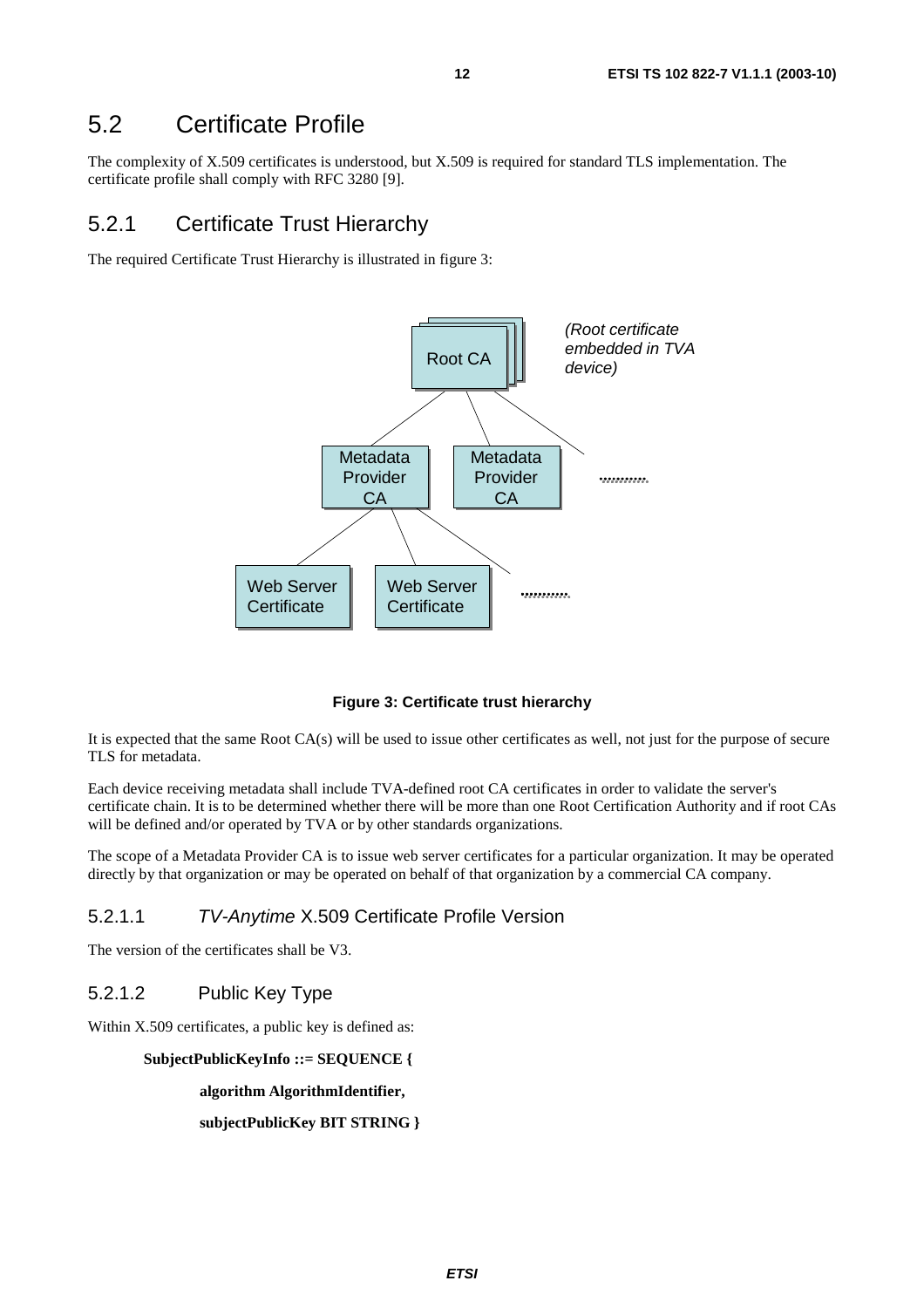### 5.2 Certificate Profile

The complexity of X.509 certificates is understood, but X.509 is required for standard TLS implementation. The certificate profile shall comply with RFC 3280 [9].

#### 5.2.1 Certificate Trust Hierarchy

The required Certificate Trust Hierarchy is illustrated in figure 3:



**Figure 3: Certificate trust hierarchy** 

It is expected that the same Root CA(s) will be used to issue other certificates as well, not just for the purpose of secure TLS for metadata.

Each device receiving metadata shall include TVA-defined root CA certificates in order to validate the server's certificate chain. It is to be determined whether there will be more than one Root Certification Authority and if root CAs will be defined and/or operated by TVA or by other standards organizations.

The scope of a Metadata Provider CA is to issue web server certificates for a particular organization. It may be operated directly by that organization or may be operated on behalf of that organization by a commercial CA company.

#### 5.2.1.1 TV-Anytime X.509 Certificate Profile Version

The version of the certificates shall be V3.

#### 5.2.1.2 Public Key Type

Within X.509 certificates, a public key is defined as:

**SubjectPublicKeyInfo ::= SEQUENCE {** 

**algorithm AlgorithmIdentifier,** 

**subjectPublicKey BIT STRING }**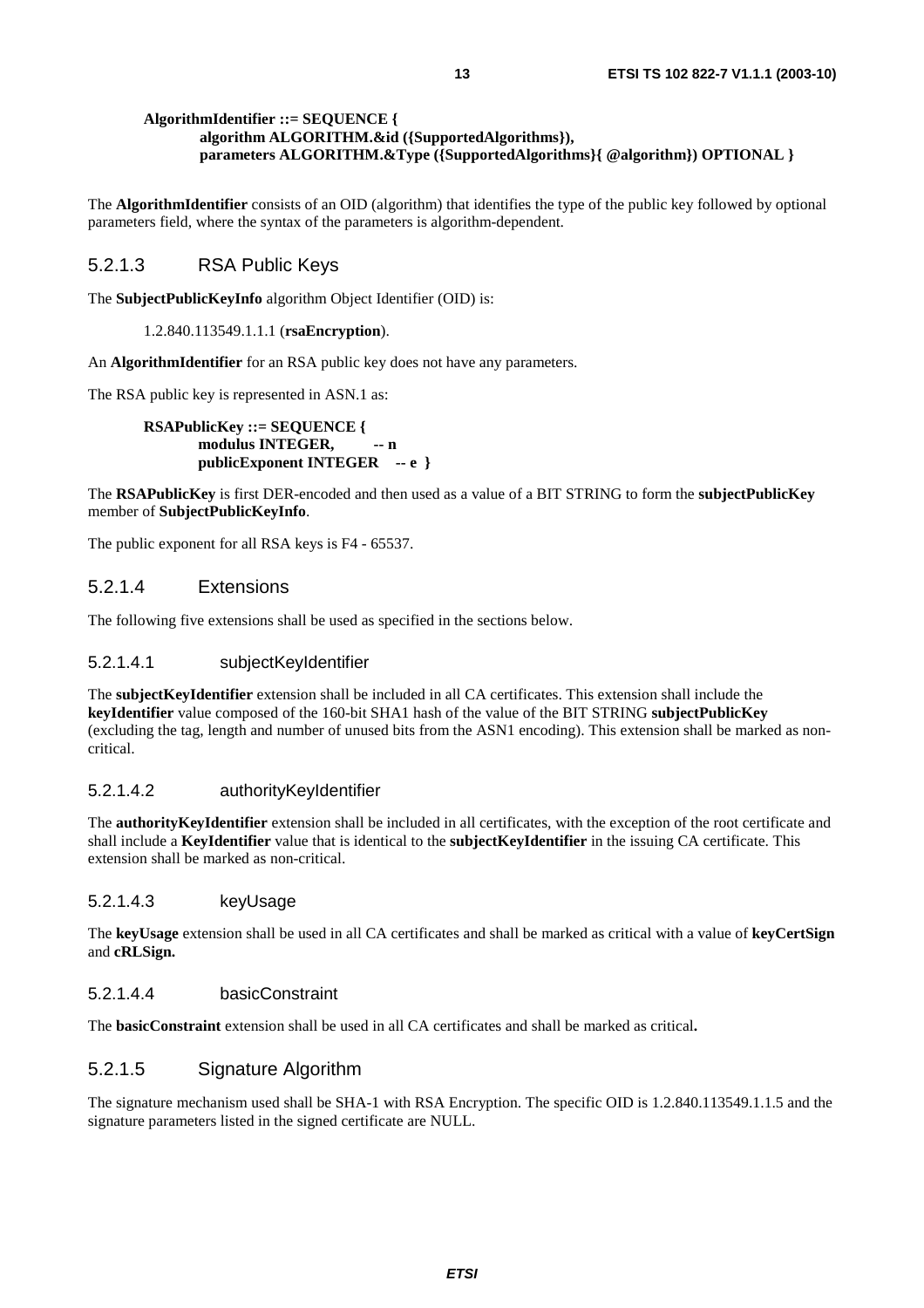#### **AlgorithmIdentifier ::= SEQUENCE { algorithm ALGORITHM.&id ({SupportedAlgorithms}), parameters ALGORITHM.&Type ({SupportedAlgorithms}{ @algorithm}) OPTIONAL }**

The **AlgorithmIdentifier** consists of an OID (algorithm) that identifies the type of the public key followed by optional parameters field, where the syntax of the parameters is algorithm-dependent.

#### 5.2.1.3 RSA Public Keys

The **SubjectPublicKeyInfo** algorithm Object Identifier (OID) is:

1.2.840.113549.1.1.1 (**rsaEncryption**).

An **AlgorithmIdentifier** for an RSA public key does not have any parameters.

The RSA public key is represented in ASN.1 as:

**RSAPublicKey ::= SEQUENCE {**  modulus **INTEGER,** -- n **publicExponent INTEGER -- e }** 

The **RSAPublicKey** is first DER-encoded and then used as a value of a BIT STRING to form the **subjectPublicKey** member of **SubjectPublicKeyInfo**.

The public exponent for all RSA keys is F4 - 65537.

#### 5.2.1.4 Extensions

The following five extensions shall be used as specified in the sections below.

#### 5.2.1.4.1 subjectKeyIdentifier

The **subjectKeyIdentifier** extension shall be included in all CA certificates. This extension shall include the **keyIdentifier** value composed of the 160-bit SHA1 hash of the value of the BIT STRING **subjectPublicKey** (excluding the tag, length and number of unused bits from the ASN1 encoding). This extension shall be marked as noncritical.

#### 5.2.1.4.2 authorityKeyIdentifier

The **authorityKeyIdentifier** extension shall be included in all certificates, with the exception of the root certificate and shall include a **KeyIdentifier** value that is identical to the **subjectKeyIdentifier** in the issuing CA certificate. This extension shall be marked as non-critical.

#### 5.2.1.4.3 keyUsage

The **keyUsage** extension shall be used in all CA certificates and shall be marked as critical with a value of **keyCertSign** and **cRLSign.**

#### 5.2.1.4.4 basicConstraint

The **basicConstraint** extension shall be used in all CA certificates and shall be marked as critical**.**

#### 5.2.1.5 Signature Algorithm

The signature mechanism used shall be SHA-1 with RSA Encryption. The specific OID is 1.2.840.113549.1.1.5 and the signature parameters listed in the signed certificate are NULL.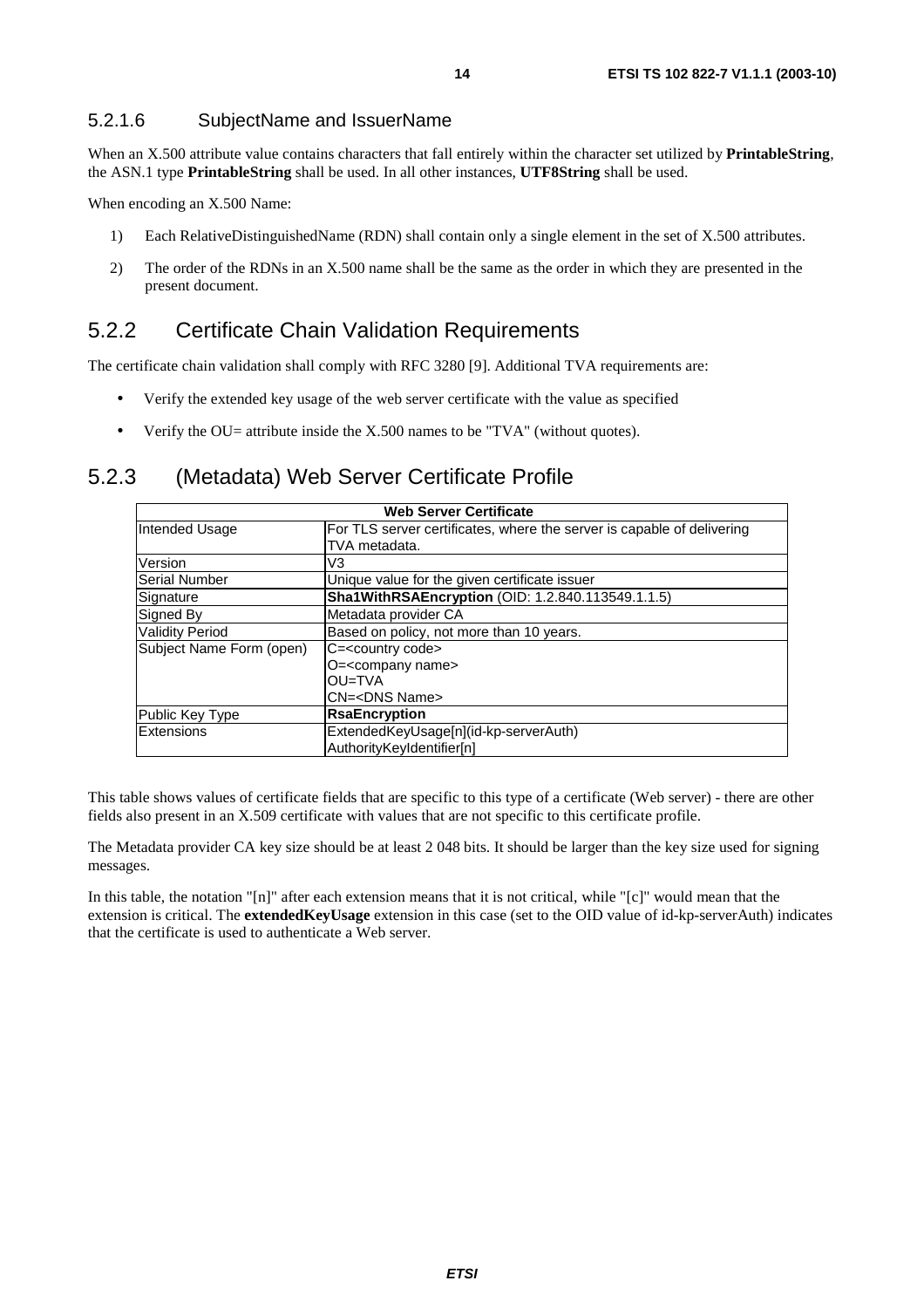#### 5.2.1.6 SubjectName and IssuerName

When an X.500 attribute value contains characters that fall entirely within the character set utilized by **PrintableString**, the ASN.1 type **PrintableString** shall be used. In all other instances, **UTF8String** shall be used.

When encoding an X.500 Name:

- 1) Each RelativeDistinguishedName (RDN) shall contain only a single element in the set of X.500 attributes.
- 2) The order of the RDNs in an X.500 name shall be the same as the order in which they are presented in the present document.

#### 5.2.2 Certificate Chain Validation Requirements

The certificate chain validation shall comply with RFC 3280 [9]. Additional TVA requirements are:

- Verify the extended key usage of the web server certificate with the value as specified
- Verify the  $OU=$  attribute inside the X.500 names to be "TVA" (without quotes).

#### 5.2.3 (Metadata) Web Server Certificate Profile

| <b>Web Server Certificate</b> |                                                                                         |  |
|-------------------------------|-----------------------------------------------------------------------------------------|--|
| Intended Usage                | For TLS server certificates, where the server is capable of delivering<br>TVA metadata. |  |
| Version                       | V3                                                                                      |  |
| <b>Serial Number</b>          | Unique value for the given certificate issuer                                           |  |
| Signature                     | Sha1WithRSAEncryption (OID: 1.2.840.113549.1.1.5)                                       |  |
| Signed By                     | Metadata provider CA                                                                    |  |
| <b>Validity Period</b>        | Based on policy, not more than 10 years.                                                |  |
| Subject Name Form (open)      | C= <country code=""></country>                                                          |  |
|                               | O= <company name=""></company>                                                          |  |
|                               | OU=TVA                                                                                  |  |
|                               | CN= <dns name=""></dns>                                                                 |  |
| Public Key Type               | <b>RsaEncryption</b>                                                                    |  |
| Extensions                    | ExtendedKeyUsage[n](id-kp-serverAuth)                                                   |  |
|                               | AuthorityKeyIdentifier[n]                                                               |  |

This table shows values of certificate fields that are specific to this type of a certificate (Web server) - there are other fields also present in an X.509 certificate with values that are not specific to this certificate profile.

The Metadata provider CA key size should be at least 2 048 bits. It should be larger than the key size used for signing messages.

In this table, the notation "[n]" after each extension means that it is not critical, while "[c]" would mean that the extension is critical. The **extendedKeyUsage** extension in this case (set to the OID value of id-kp-serverAuth) indicates that the certificate is used to authenticate a Web server.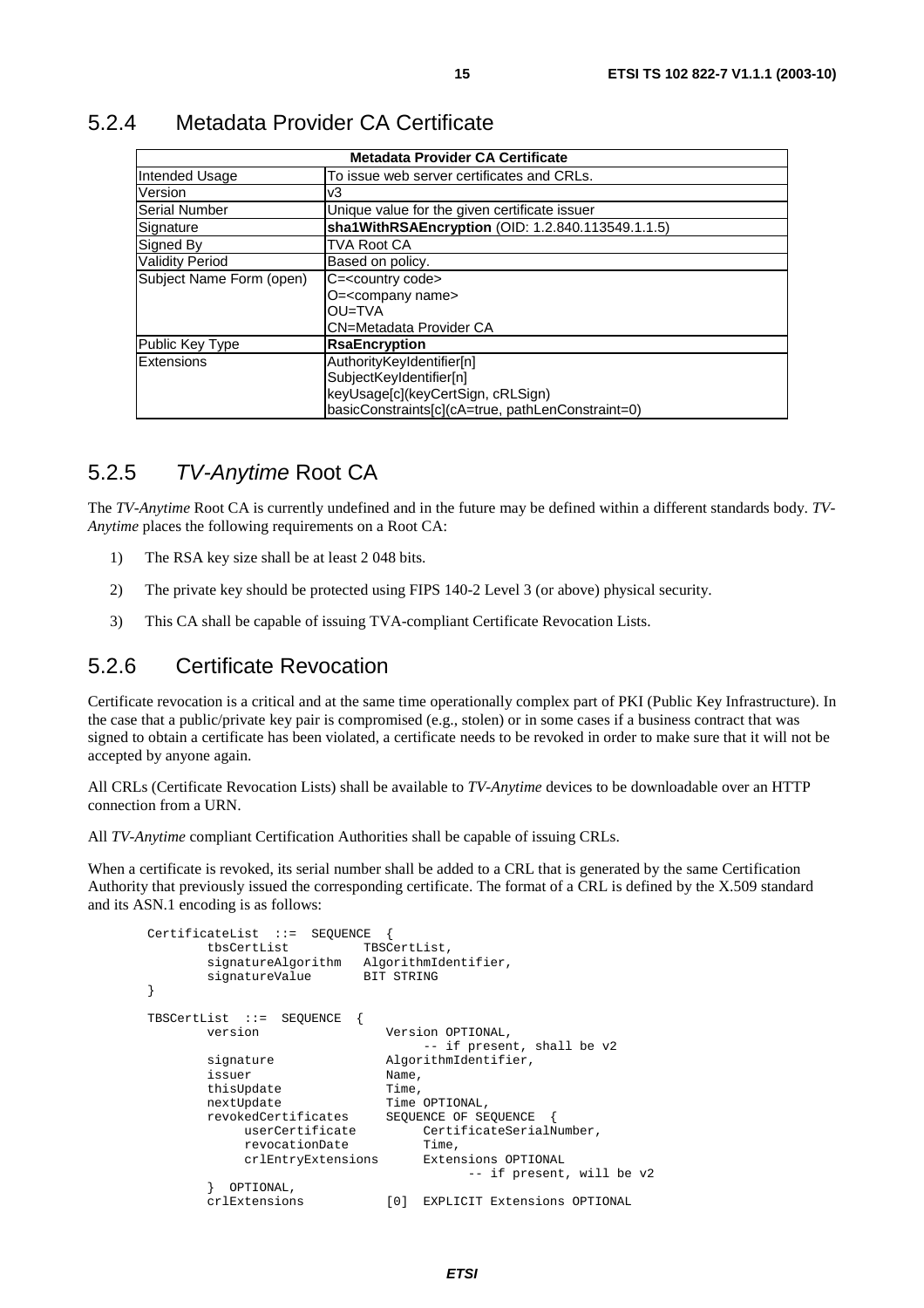| <b>Metadata Provider CA Certificate</b> |                                                   |  |
|-----------------------------------------|---------------------------------------------------|--|
| Intended Usage                          | To issue web server certificates and CRLs.        |  |
| Version                                 | v3                                                |  |
| <b>Serial Number</b>                    | Unique value for the given certificate issuer     |  |
| Signature                               | sha1WithRSAEncryption (OID: 1.2.840.113549.1.1.5) |  |
| Signed By                               | <b>TVA Root CA</b>                                |  |
| <b>Validity Period</b>                  | Based on policy.                                  |  |
| Subject Name Form (open)                | C= <country code=""></country>                    |  |
|                                         | O= <company name=""></company>                    |  |
|                                         | OU=TVA                                            |  |
|                                         | <b>CN=Metadata Provider CA</b>                    |  |
| Public Key Type                         | <b>RsaEncryption</b>                              |  |
| Extensions                              | AuthorityKeyIdentifier[n]                         |  |
|                                         | SubjectKeyIdentifier[n]                           |  |
|                                         | keyUsage[c](keyCertSign, cRLSign)                 |  |
|                                         | basicConstraints[c](cA=true, pathLenConstraint=0) |  |

#### 5.2.4 Metadata Provider CA Certificate

### 5.2.5 TV-Anytime Root CA

The *TV-Anytime* Root CA is currently undefined and in the future may be defined within a different standards body. *TV-Anytime* places the following requirements on a Root CA:

- 1) The RSA key size shall be at least 2 048 bits.
- 2) The private key should be protected using FIPS 140-2 Level 3 (or above) physical security.
- 3) This CA shall be capable of issuing TVA-compliant Certificate Revocation Lists.

### 5.2.6 Certificate Revocation

Certificate revocation is a critical and at the same time operationally complex part of PKI (Public Key Infrastructure). In the case that a public/private key pair is compromised (e.g., stolen) or in some cases if a business contract that was signed to obtain a certificate has been violated, a certificate needs to be revoked in order to make sure that it will not be accepted by anyone again.

All CRLs (Certificate Revocation Lists) shall be available to *TV-Anytime* devices to be downloadable over an HTTP connection from a URN.

All *TV-Anytime* compliant Certification Authorities shall be capable of issuing CRLs.

When a certificate is revoked, its serial number shall be added to a CRL that is generated by the same Certification Authority that previously issued the corresponding certificate. The format of a CRL is defined by the X.509 standard and its ASN.1 encoding is as follows:

```
CertificateList ::= SEQUENCE { 
        tbsCertList TBSCertList, 
       signatureAlgorithm AlgorithmIdentifier,<br>signatureValue BIT STRING
       signatureValue
} 
TBSCertList ::= SEQUENCE {<br>version
                                version Version OPTIONAL, 
                                     -- if present, shall be v2 
       signature AlgorithmIdentifier.
        issuer Name, 
       thisUpdate Time,<br>nextUpdate Time
                               Time OPTIONAL,
       revokedCertificates SEQUENCE OF SEQUENCE
             userCertificate CertificateSerialNumber, 
            revocationDate Time,
             crlEntryExtensions Extensions OPTIONAL 
                                           -- if present, will be v2 
         OPTIONAL.
        crlExtensions [0] EXPLICIT Extensions OPTIONAL
```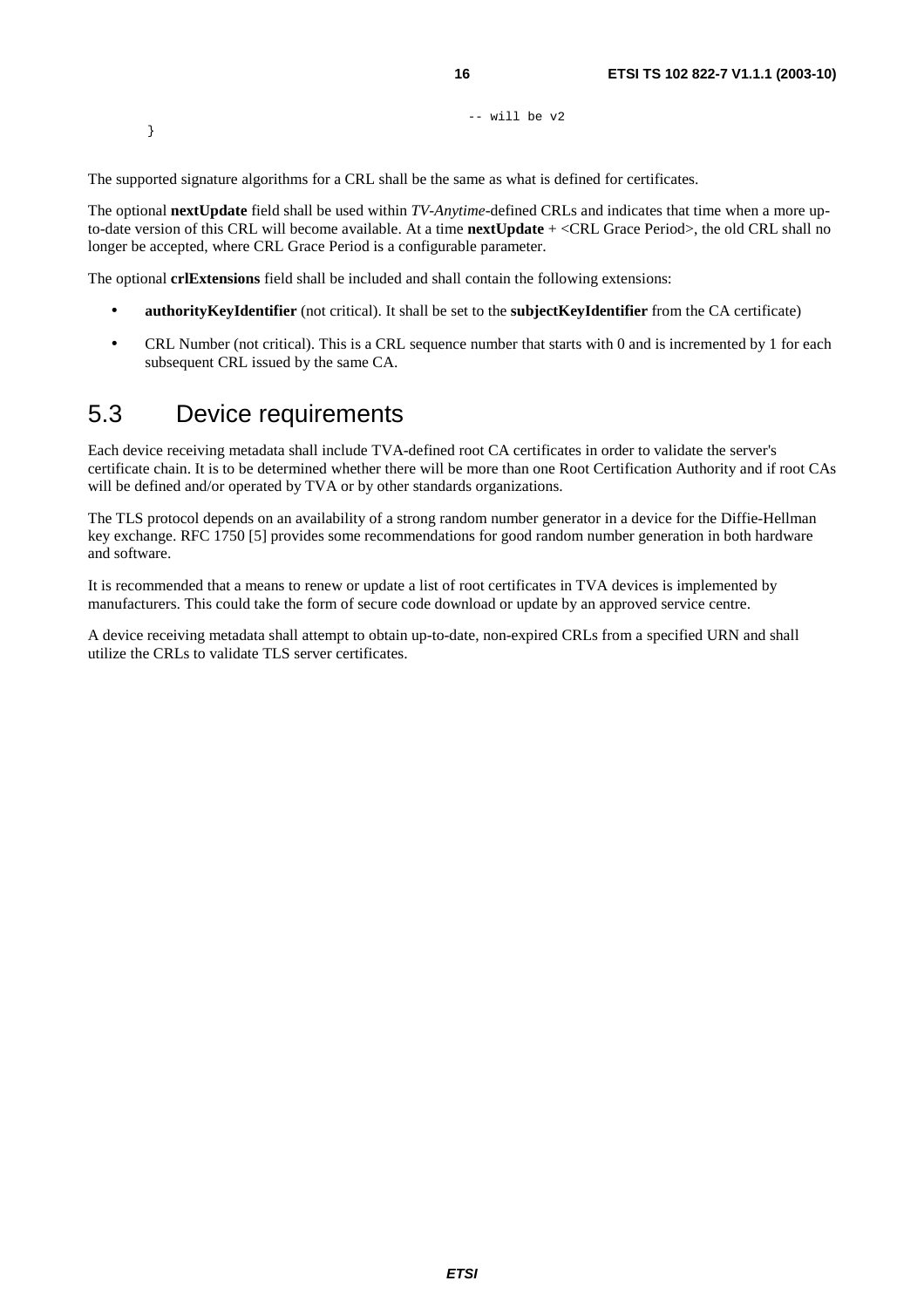-- will be v2

The supported signature algorithms for a CRL shall be the same as what is defined for certificates.

The optional **nextUpdate** field shall be used within *TV-Anytime*-defined CRLs and indicates that time when a more upto-date version of this CRL will become available. At a time **nextUpdate** + <CRL Grace Period>, the old CRL shall no longer be accepted, where CRL Grace Period is a configurable parameter.

The optional **crlExtensions** field shall be included and shall contain the following extensions:

- **authorityKeyIdentifier** (not critical). It shall be set to the **subjectKeyIdentifier** from the CA certificate)
- CRL Number (not critical). This is a CRL sequence number that starts with 0 and is incremented by 1 for each subsequent CRL issued by the same CA.

### 5.3 Device requirements

}

Each device receiving metadata shall include TVA-defined root CA certificates in order to validate the server's certificate chain. It is to be determined whether there will be more than one Root Certification Authority and if root CAs will be defined and/or operated by TVA or by other standards organizations.

The TLS protocol depends on an availability of a strong random number generator in a device for the Diffie-Hellman key exchange. RFC 1750 [5] provides some recommendations for good random number generation in both hardware and software.

It is recommended that a means to renew or update a list of root certificates in TVA devices is implemented by manufacturers. This could take the form of secure code download or update by an approved service centre.

A device receiving metadata shall attempt to obtain up-to-date, non-expired CRLs from a specified URN and shall utilize the CRLs to validate TLS server certificates.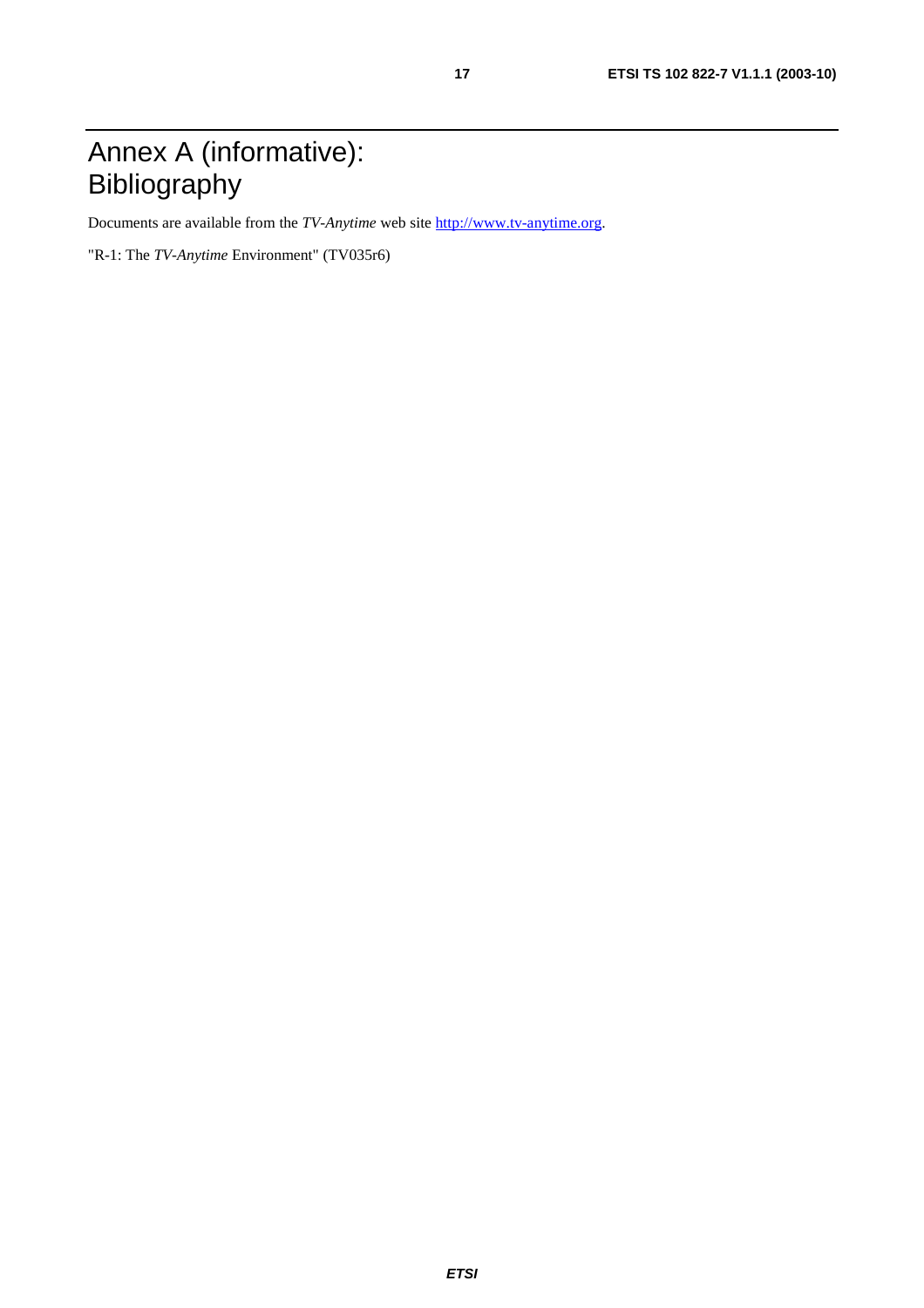# Annex A (informative): Bibliography

Documents are available from the *TV-Anytime* web site [http://www.tv-anytime.org](http://www.tv-anytime.org/).

"R-1: The *TV-Anytime* Environment" (TV035r6)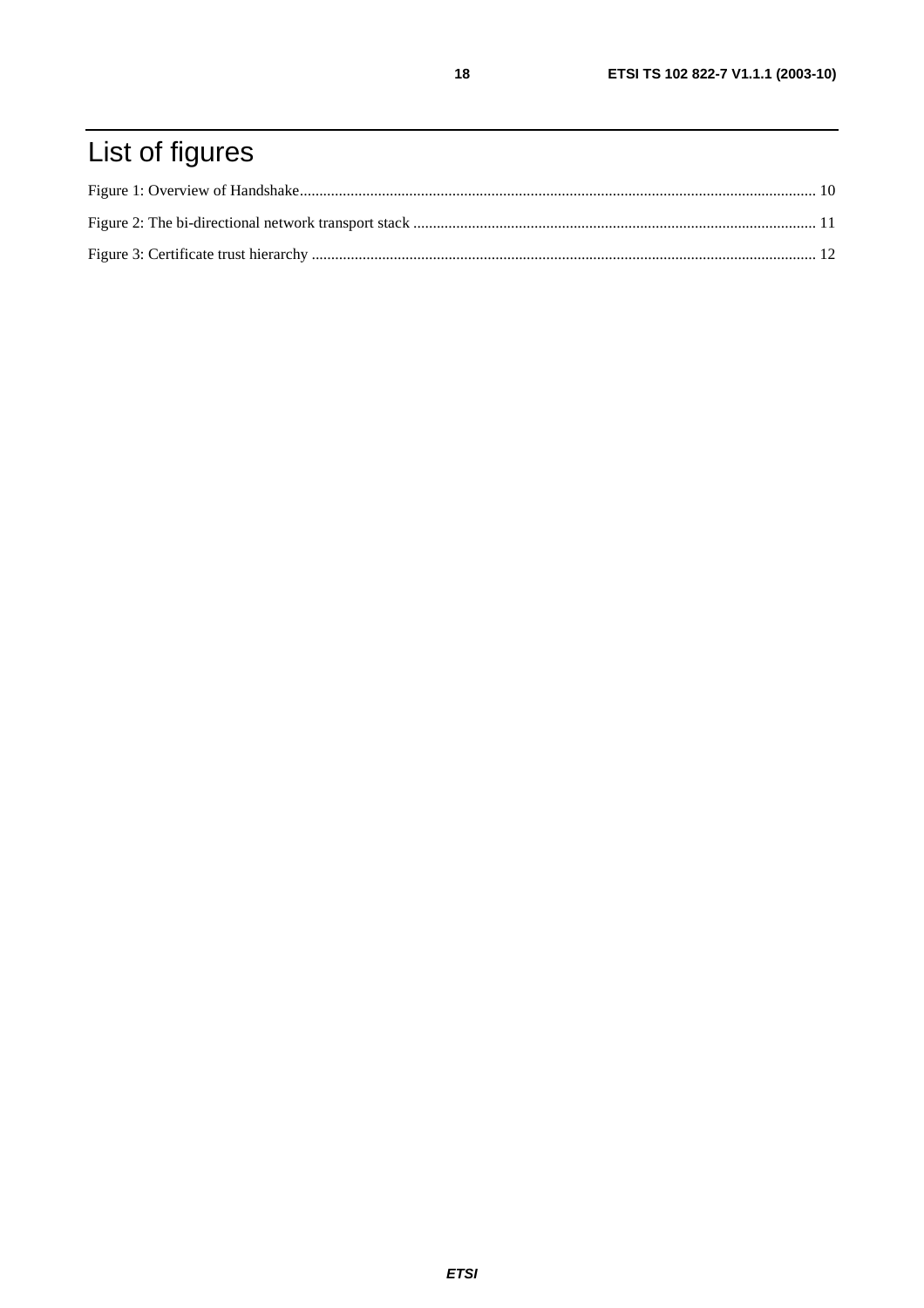# List of figures